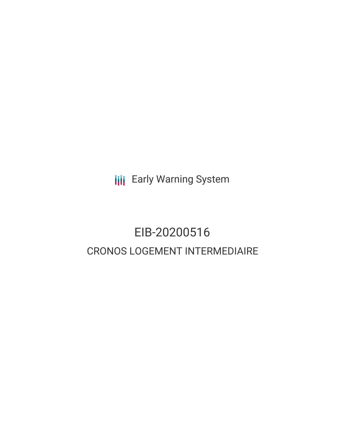**III** Early Warning System

# EIB-20200516 CRONOS LOGEMENT INTERMEDIAIRE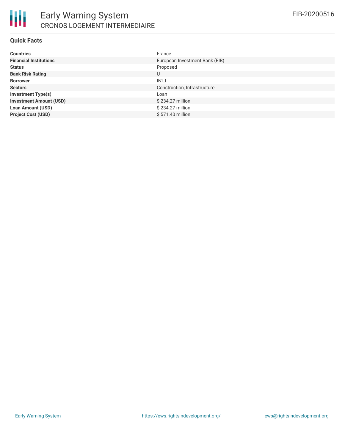

#### **Quick Facts**

| <b>Countries</b>               | France                         |
|--------------------------------|--------------------------------|
| <b>Financial Institutions</b>  | European Investment Bank (EIB) |
| <b>Status</b>                  | Proposed                       |
| <b>Bank Risk Rating</b>        | U                              |
| <b>Borrower</b>                | IN'LI                          |
| <b>Sectors</b>                 | Construction, Infrastructure   |
| <b>Investment Type(s)</b>      | Loan                           |
| <b>Investment Amount (USD)</b> | \$234.27 million               |
| <b>Loan Amount (USD)</b>       | \$234.27 million               |
| <b>Project Cost (USD)</b>      | \$571.40 million               |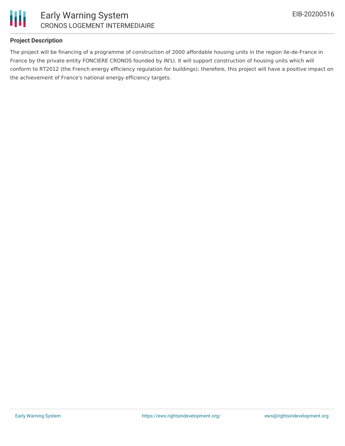

# Early Warning System CRONOS LOGEMENT INTERMEDIAIRE

### **Project Description**

The project will be financing of a programme of construction of 2000 affordable housing units in the region Ile-de-France in France by the private entity FONCIERE CRONOS founded by IN'LI. It will support construction of housing units which will conform to RT2012 (the French energy efficiency regulation for buildings); therefore, this project will have a positive impact on the achievement of France's national energy efficiency targets.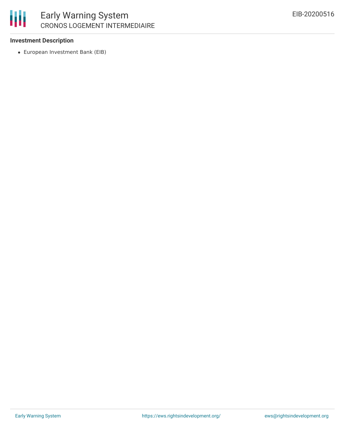

# Early Warning System CRONOS LOGEMENT INTERMEDIAIRE

#### **Investment Description**

European Investment Bank (EIB)